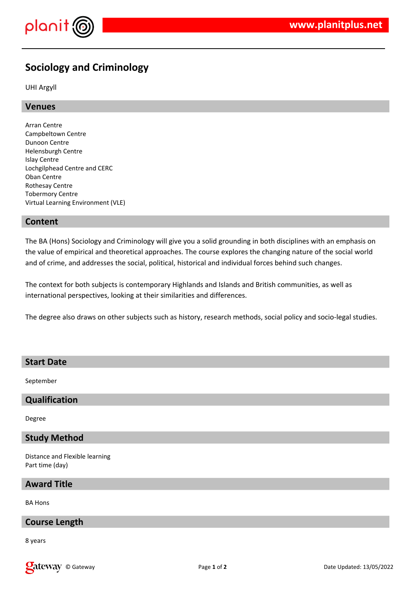

# **Sociology and Criminology**

UHI Argyll

# **Venues**

Arran Centre Campbeltown Centre Dunoon Centre Helensburgh Centre Islay Centre Lochgilphead Centre and CERC Oban Centre Rothesay Centre Tobermory Centre Virtual Learning Environment (VLE)

# **Content**

The BA (Hons) Sociology and Criminology will give you a solid grounding in both disciplines with an emphasis on the value of empirical and theoretical approaches. The course explores the changing nature of the social world and of crime, and addresses the social, political, historical and individual forces behind such changes.

The context for both subjects is contemporary Highlands and Islands and British communities, as well as international perspectives, looking at their similarities and differences.

The degree also draws on other subjects such as history, research methods, social policy and socio-legal studies.

# **Start Date**

September

# **Qualification**

Degree

# **Study Method**

Distance and Flexible learning Part time (day)

### **Award Title**

BA Hons

# **Course Length**

8 years